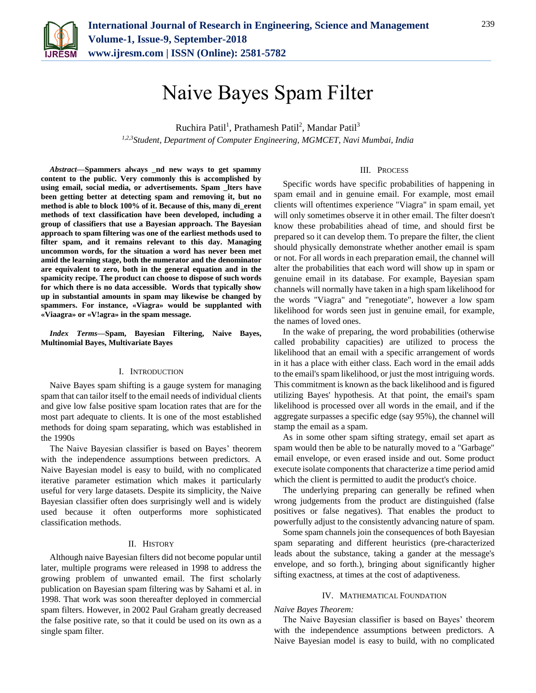

Ruchira Patil<sup>1</sup>, Prathamesh Patil<sup>2</sup>, Mandar Patil<sup>3</sup> *1,2,3Student, Department of Computer Engineering, MGMCET, Navi Mumbai, India*

*Abstract***—Spammers always \_nd new ways to get spammy content to the public. Very commonly this is accomplished by using email, social media, or advertisements. Spam \_lters have been getting better at detecting spam and removing it, but no method is able to block 100% of it. Because of this, many di\_erent methods of text classification have been developed, including a group of classifiers that use a Bayesian approach. The Bayesian approach to spam filtering was one of the earliest methods used to filter spam, and it remains relevant to this day. Managing uncommon words, for the situation a word has never been met amid the learning stage, both the numerator and the denominator are equivalent to zero, both in the general equation and in the spamicity recipe. The product can choose to dispose of such words for which there is no data accessible. Words that typically show up in substantial amounts in spam may likewise be changed by spammers. For instance, «Viagra» would be supplanted with «Viaagra» or «V!agra» in the spam message.**

*Index Terms***—Spam, Bayesian Filtering, Naive Bayes, Multinomial Bayes, Multivariate Bayes**

## I. INTRODUCTION

Naive Bayes spam shifting is a gauge system for managing spam that can tailor itself to the email needs of individual clients and give low false positive spam location rates that are for the most part adequate to clients. It is one of the most established methods for doing spam separating, which was established in the 1990s

The Naive Bayesian classifier is based on Bayes' theorem with the independence assumptions between predictors. A Naive Bayesian model is easy to build, with no complicated iterative parameter estimation which makes it particularly useful for very large datasets. Despite its simplicity, the Naive Bayesian classifier often does surprisingly well and is widely used because it often outperforms more sophisticated classification methods.

## II. HISTORY

Although naive Bayesian filters did not become popular until later, multiple programs were released in 1998 to address the growing problem of unwanted email. The first scholarly publication on Bayesian spam filtering was by Sahami et al. in 1998. That work was soon thereafter deployed in commercial spam filters. However, in 2002 Paul Graham greatly decreased the false positive rate, so that it could be used on its own as a single spam filter.

#### III. PROCESS

Specific words have specific probabilities of happening in spam email and in genuine email. For example, most email clients will oftentimes experience "Viagra" in spam email, yet will only sometimes observe it in other email. The filter doesn't know these probabilities ahead of time, and should first be prepared so it can develop them. To prepare the filter, the client should physically demonstrate whether another email is spam or not. For all words in each preparation email, the channel will alter the probabilities that each word will show up in spam or genuine email in its database. For example, Bayesian spam channels will normally have taken in a high spam likelihood for the words "Viagra" and "renegotiate", however a low spam likelihood for words seen just in genuine email, for example, the names of loved ones.

In the wake of preparing, the word probabilities (otherwise called probability capacities) are utilized to process the likelihood that an email with a specific arrangement of words in it has a place with either class. Each word in the email adds to the email's spam likelihood, or just the most intriguing words. This commitment is known as the back likelihood and is figured utilizing Bayes' hypothesis. At that point, the email's spam likelihood is processed over all words in the email, and if the aggregate surpasses a specific edge (say 95%), the channel will stamp the email as a spam.

As in some other spam sifting strategy, email set apart as spam would then be able to be naturally moved to a "Garbage" email envelope, or even erased inside and out. Some product execute isolate components that characterize a time period amid which the client is permitted to audit the product's choice.

The underlying preparing can generally be refined when wrong judgements from the product are distinguished (false positives or false negatives). That enables the product to powerfully adjust to the consistently advancing nature of spam.

Some spam channels join the consequences of both Bayesian spam separating and different heuristics (pre-characterized leads about the substance, taking a gander at the message's envelope, and so forth.), bringing about significantly higher sifting exactness, at times at the cost of adaptiveness.

### IV. MATHEMATICAL FOUNDATION

#### *Naive Bayes Theorem:*

The Naive Bayesian classifier is based on Bayes' theorem with the independence assumptions between predictors. A Naive Bayesian model is easy to build, with no complicated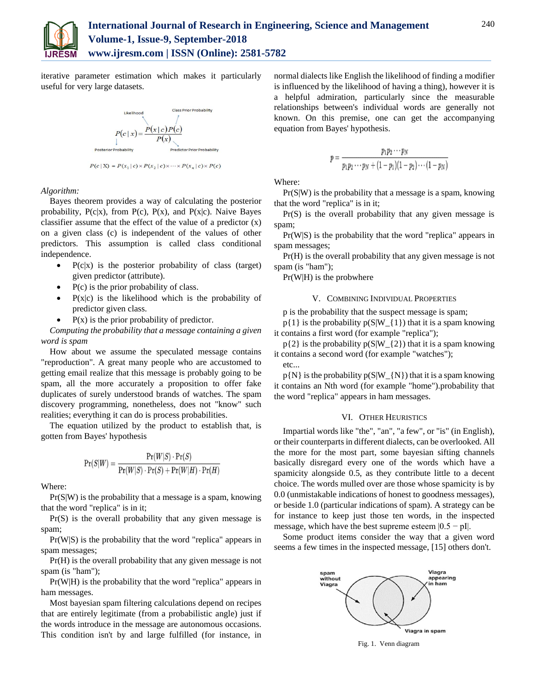

iterative parameter estimation which makes it particularly useful for very large datasets.



 $P(c | \mathbf{X}) = P(x_1 | c) \times P(x_2 | c) \times \cdots \times P(x_n | c) \times P(c)$ 

*Algorithm:*

Bayes theorem provides a way of calculating the posterior probability,  $P(c|x)$ , from  $P(c)$ ,  $P(x)$ , and  $P(x|c)$ . Naive Bayes classifier assume that the effect of the value of a predictor (x) on a given class (c) is independent of the values of other predictors. This assumption is called class conditional independence.

- $P(c|x)$  is the posterior probability of class (target) given predictor (attribute).
- P(c) is the prior probability of class.
- $P(x|c)$  is the likelihood which is the probability of predictor given class.
- $\bullet$  P(x) is the prior probability of predictor.

*Computing the probability that a message containing a given word is spam*

How about we assume the speculated message contains "reproduction". A great many people who are accustomed to getting email realize that this message is probably going to be spam, all the more accurately a proposition to offer fake duplicates of surely understood brands of watches. The spam discovery programming, nonetheless, does not "know" such realities; everything it can do is process probabilities.

The equation utilized by the product to establish that, is gotten from Bayes' hypothesis

$$
\Pr(S|W) = \frac{\Pr(W|S) \cdot \Pr(S)}{\Pr(W|S) \cdot \Pr(S) + \Pr(W|H) \cdot \Pr(H)}
$$

Where:

Pr(S|W) is the probability that a message is a spam, knowing that the word "replica" is in it;

Pr(S) is the overall probability that any given message is spam;

Pr(W|S) is the probability that the word "replica" appears in spam messages;

Pr(H) is the overall probability that any given message is not spam (is "ham");

Pr(W|H) is the probability that the word "replica" appears in ham messages.

Most bayesian spam filtering calculations depend on recipes that are entirely legitimate (from a probabilistic angle) just if the words introduce in the message are autonomous occasions. This condition isn't by and large fulfilled (for instance, in

normal dialects like English the likelihood of finding a modifier is influenced by the likelihood of having a thing), however it is a helpful admiration, particularly since the measurable relationships between's individual words are generally not known. On this premise, one can get the accompanying equation from Bayes' hypothesis.

$$
p = \frac{p_1 p_2 \cdots p_N}{p_1 p_2 \cdots p_N + (1 - p_1)(1 - p_2) \cdots (1 - p_N)}
$$

Where:

Pr(S|W) is the probability that a message is a spam, knowing that the word "replica" is in it;

Pr(S) is the overall probability that any given message is spam;

Pr(W|S) is the probability that the word "replica" appears in spam messages;

Pr(H) is the overall probability that any given message is not spam (is "ham");

Pr(W|H) is the probwhere

# V. COMBINING INDIVIDUAL PROPERTIES

p is the probability that the suspect message is spam;

 $p{1}$  is the probability  $p(S|W_{1}|1)$  that it is a spam knowing it contains a first word (for example "replica");

 $p{2}$  is the probability  $p(S|W {2})$  that it is a spam knowing it contains a second word (for example "watches"); etc...

 $p{N}$  is the probability  $p(S|W_{N}|\)$  that it is a spam knowing it contains an Nth word (for example "home").probability that the word "replica" appears in ham messages.

## VI. OTHER HEURISTICS

Impartial words like "the", "an", "a few", or "is" (in English), or their counterparts in different dialects, can be overlooked. All the more for the most part, some bayesian sifting channels basically disregard every one of the words which have a spamicity alongside 0.5, as they contribute little to a decent choice. The words mulled over are those whose spamicity is by 0.0 (unmistakable indications of honest to goodness messages), or beside 1.0 (particular indications of spam). A strategy can be for instance to keep just those ten words, in the inspected message, which have the best supreme esteem  $|0.5 - pI|$ .

Some product items consider the way that a given word seems a few times in the inspected message, [15] others don't.



Fig. 1. Venn diagram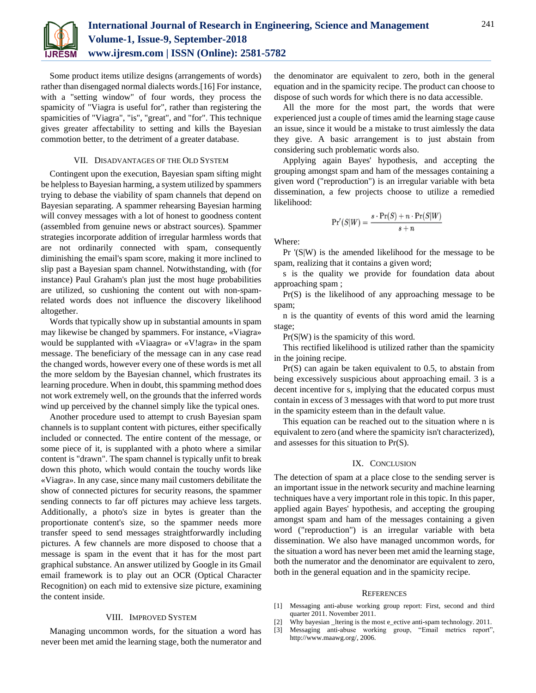

Some product items utilize designs (arrangements of words) rather than disengaged normal dialects words.[16] For instance, with a "setting window" of four words, they process the spamicity of "Viagra is useful for", rather than registering the spamicities of "Viagra", "is", "great", and "for". This technique gives greater affectability to setting and kills the Bayesian commotion better, to the detriment of a greater database.

### VII. DISADVANTAGES OF THE OLD SYSTEM

Contingent upon the execution, Bayesian spam sifting might be helpless to Bayesian harming, a system utilized by spammers trying to debase the viability of spam channels that depend on Bayesian separating. A spammer rehearsing Bayesian harming will convey messages with a lot of honest to goodness content (assembled from genuine news or abstract sources). Spammer strategies incorporate addition of irregular harmless words that are not ordinarily connected with spam, consequently diminishing the email's spam score, making it more inclined to slip past a Bayesian spam channel. Notwithstanding, with (for instance) Paul Graham's plan just the most huge probabilities are utilized, so cushioning the content out with non-spamrelated words does not influence the discovery likelihood altogether.

Words that typically show up in substantial amounts in spam may likewise be changed by spammers. For instance, «Viagra» would be supplanted with «Viaagra» or «V!agra» in the spam message. The beneficiary of the message can in any case read the changed words, however every one of these words is met all the more seldom by the Bayesian channel, which frustrates its learning procedure. When in doubt, this spamming method does not work extremely well, on the grounds that the inferred words wind up perceived by the channel simply like the typical ones.

Another procedure used to attempt to crush Bayesian spam channels is to supplant content with pictures, either specifically included or connected. The entire content of the message, or some piece of it, is supplanted with a photo where a similar content is "drawn". The spam channel is typically unfit to break down this photo, which would contain the touchy words like «Viagra». In any case, since many mail customers debilitate the show of connected pictures for security reasons, the spammer sending connects to far off pictures may achieve less targets. Additionally, a photo's size in bytes is greater than the proportionate content's size, so the spammer needs more transfer speed to send messages straightforwardly including pictures. A few channels are more disposed to choose that a message is spam in the event that it has for the most part graphical substance. An answer utilized by Google in its Gmail email framework is to play out an OCR (Optical Character Recognition) on each mid to extensive size picture, examining the content inside.

### VIII. IMPROVED SYSTEM

Managing uncommon words, for the situation a word has never been met amid the learning stage, both the numerator and the denominator are equivalent to zero, both in the general equation and in the spamicity recipe. The product can choose to dispose of such words for which there is no data accessible.

All the more for the most part, the words that were experienced just a couple of times amid the learning stage cause an issue, since it would be a mistake to trust aimlessly the data they give. A basic arrangement is to just abstain from considering such problematic words also.

Applying again Bayes' hypothesis, and accepting the grouping amongst spam and ham of the messages containing a given word ("reproduction") is an irregular variable with beta dissemination, a few projects choose to utilize a remedied likelihood:

$$
\Pr'(S|W) = \frac{s \cdot \Pr(S) + n \cdot \Pr(S|W)}{s + n}
$$

Where:

Pr '(S|W) is the amended likelihood for the message to be spam, realizing that it contains a given word;

s is the quality we provide for foundation data about approaching spam ;

Pr(S) is the likelihood of any approaching message to be spam;

n is the quantity of events of this word amid the learning stage;

Pr(S|W) is the spamicity of this word.

This rectified likelihood is utilized rather than the spamicity in the joining recipe.

Pr(S) can again be taken equivalent to 0.5, to abstain from being excessively suspicious about approaching email. 3 is a decent incentive for s, implying that the educated corpus must contain in excess of 3 messages with that word to put more trust in the spamicity esteem than in the default value.

This equation can be reached out to the situation where n is equivalent to zero (and where the spamicity isn't characterized), and assesses for this situation to Pr(S).

#### IX. CONCLUSION

The detection of spam at a place close to the sending server is an important issue in the network security and machine learning techniques have a very important role in this topic. In this paper, applied again Bayes' hypothesis, and accepting the grouping amongst spam and ham of the messages containing a given word ("reproduction") is an irregular variable with beta dissemination. We also have managed uncommon words, for the situation a word has never been met amid the learning stage, both the numerator and the denominator are equivalent to zero, both in the general equation and in the spamicity recipe.

#### **REFERENCES**

- [1] Messaging anti-abuse working group report: First, second and third quarter 2011. November 2011.
- [2] Why bayesian \_ltering is the most e\_ective anti-spam technology. 2011.
- [3] Messaging anti-abuse working group, "Email metrics report", http://www.maawg.org/, 2006.